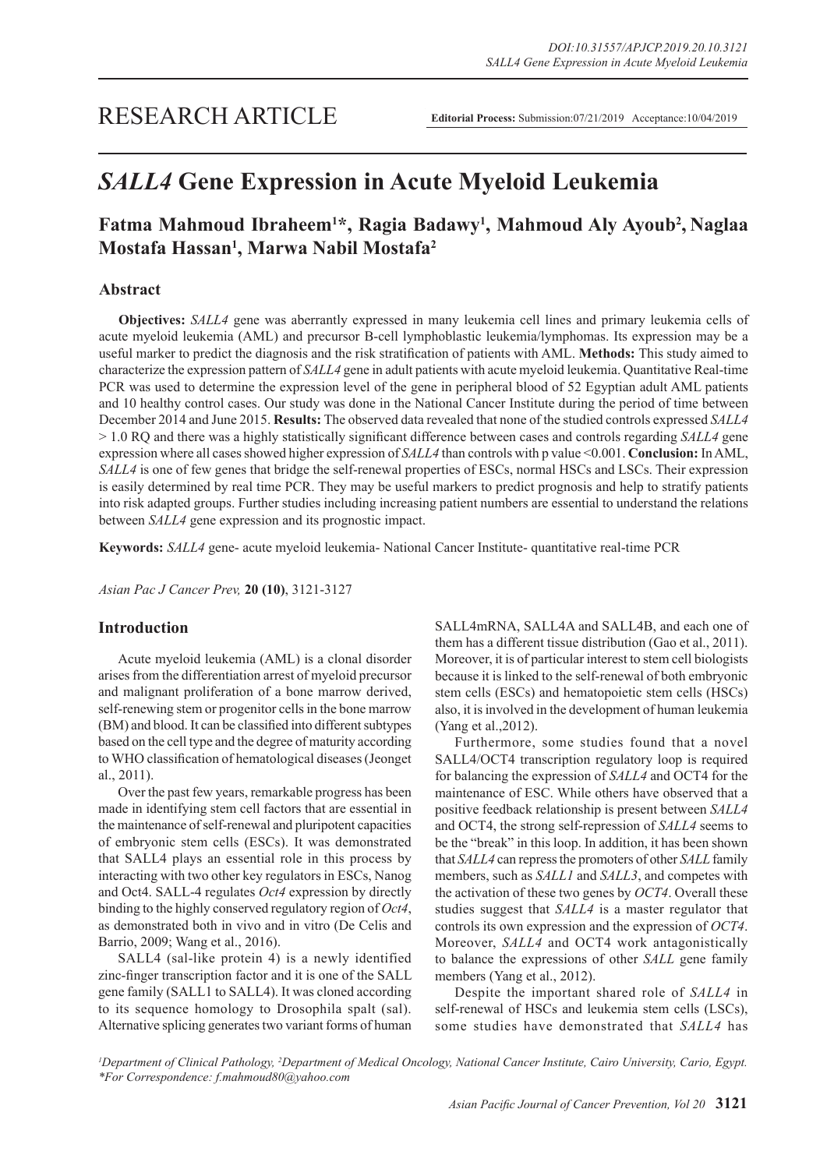# *SALL4* **Gene Expression in Acute Myeloid Leukemia**

## Fatma Mahmoud Ibraheem<sup>1\*</sup>, Ragia Badawy<sup>1</sup>, Mahmoud Aly Ayoub<sup>2</sup>, Naglaa **Mostafa Hassan1 , Marwa Nabil Mostafa2**

## **Abstract**

**Objectives:** *SALL4* gene was aberrantly expressed in many leukemia cell lines and primary leukemia cells of acute myeloid leukemia (AML) and precursor B-cell lymphoblastic leukemia/lymphomas. Its expression may be a useful marker to predict the diagnosis and the risk stratification of patients with AML. **Methods:** This study aimed to characterize the expression pattern of *SALL4* gene in adult patients with acute myeloid leukemia. Quantitative Real-time PCR was used to determine the expression level of the gene in peripheral blood of 52 Egyptian adult AML patients and 10 healthy control cases. Our study was done in the National Cancer Institute during the period of time between December 2014 and June 2015. **Results:** The observed data revealed that none of the studied controls expressed *SALL4* > 1.0 RQ and there was a highly statistically significant difference between cases and controls regarding *SALL4* gene expression where all cases showed higher expression of *SALL4* than controls with p value <0.001. **Conclusion:** In AML, *SALL4* is one of few genes that bridge the self-renewal properties of ESCs, normal HSCs and LSCs. Their expression is easily determined by real time PCR. They may be useful markers to predict prognosis and help to stratify patients into risk adapted groups. Further studies including increasing patient numbers are essential to understand the relations between *SALL4* gene expression and its prognostic impact.

**Keywords:** *SALL4* gene- acute myeloid leukemia- National Cancer Institute- quantitative real-time PCR

*Asian Pac J Cancer Prev,* **20 (10)**, 3121-3127

#### **Introduction**

Acute myeloid leukemia (AML) is a clonal disorder arises from the differentiation arrest of myeloid precursor and malignant proliferation of a bone marrow derived, self-renewing stem or progenitor cells in the bone marrow (BM) and blood. It can be classified into different subtypes based on the cell type and the degree of maturity according to WHO classification of hematological diseases (Jeonget al., 2011).

Over the past few years, remarkable progress has been made in identifying stem cell factors that are essential in the maintenance of self-renewal and pluripotent capacities of embryonic stem cells (ESCs). It was demonstrated that SALL4 plays an essential role in this process by interacting with two other key regulators in ESCs, Nanog and Oct4. SALL-4 regulates *Oct4* expression by directly binding to the highly conserved regulatory region of *Oct4*, as demonstrated both in vivo and in vitro (De Celis and Barrio, 2009; Wang et al., 2016).

SALL4 (sal-like protein 4) is a newly identified zinc-finger transcription factor and it is one of the SALL gene family (SALL1 to SALL4). It was cloned according to its sequence homology to Drosophila spalt (sal). Alternative splicing generates two variant forms of human

SALL4mRNA, SALL4A and SALL4B, and each one of them has a different tissue distribution (Gao et al., 2011). Moreover, it is of particular interest to stem cell biologists because it is linked to the self-renewal of both embryonic stem cells (ESCs) and hematopoietic stem cells (HSCs) also, it is involved in the development of human leukemia (Yang et al.,2012).

Furthermore, some studies found that a novel SALL4/OCT4 transcription regulatory loop is required for balancing the expression of *SALL4* and OCT4 for the maintenance of ESC. While others have observed that a positive feedback relationship is present between *SALL4* and OCT4, the strong self-repression of *SALL4* seems to be the "break" in this loop. In addition, it has been shown that *SALL4* can repress the promoters of other *SALL* family members, such as *SALL1* and *SALL3*, and competes with the activation of these two genes by *OCT4*. Overall these studies suggest that *SALL4* is a master regulator that controls its own expression and the expression of *OCT4*. Moreover, *SALL4* and OCT4 work antagonistically to balance the expressions of other *SALL* gene family members (Yang et al., 2012).

Despite the important shared role of *SALL4* in self-renewal of HSCs and leukemia stem cells (LSCs), some studies have demonstrated that *SALL4* has

<sup>1</sup>Department of Clinical Pathology, <sup>2</sup>Department of Medical Oncology, National Cancer Institute, Cairo University, Cario, Egypt. *\*For Correspondence: f.mahmoud80@yahoo.com*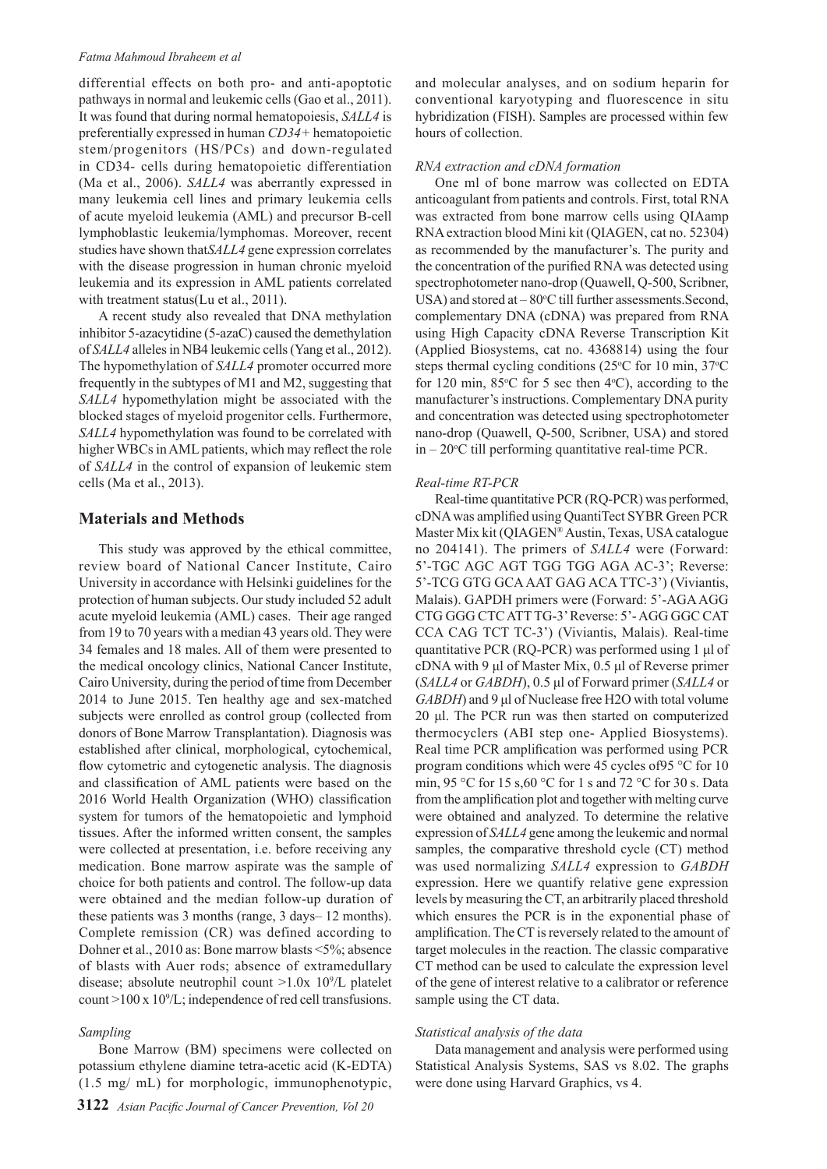#### *Fatma Mahmoud Ibraheem et al*

differential effects on both pro- and anti-apoptotic pathways in normal and leukemic cells (Gao et al., 2011). It was found that during normal hematopoiesis, *SALL4* is preferentially expressed in human *CD34+* hematopoietic stem/progenitors (HS/PCs) and down-regulated in CD34- cells during hematopoietic differentiation (Ma et al., 2006). *SALL4* was aberrantly expressed in many leukemia cell lines and primary leukemia cells of acute myeloid leukemia (AML) and precursor B-cell lymphoblastic leukemia/lymphomas. Moreover, recent studies have shown that*SALL4* gene expression correlates with the disease progression in human chronic myeloid leukemia and its expression in AML patients correlated with treatment status(Lu et al., 2011).

A recent study also revealed that DNA methylation inhibitor 5-azacytidine (5-azaC) caused the demethylation of *SALL4* alleles in NB4 leukemic cells (Yang et al., 2012). The hypomethylation of *SALL4* promoter occurred more frequently in the subtypes of M1 and M2, suggesting that *SALL4* hypomethylation might be associated with the blocked stages of myeloid progenitor cells. Furthermore, *SALL4* hypomethylation was found to be correlated with higher WBCs in AML patients, which may reflect the role of *SALL4* in the control of expansion of leukemic stem cells (Ma et al., 2013).

## **Materials and Methods**

This study was approved by the ethical committee, review board of National Cancer Institute, Cairo University in accordance with Helsinki guidelines for the protection of human subjects. Our study included 52 adult acute myeloid leukemia (AML) cases. Their age ranged from 19 to 70 years with a median 43 years old. They were 34 females and 18 males. All of them were presented to the medical oncology clinics, National Cancer Institute, Cairo University, during the period of time from December 2014 to June 2015. Ten healthy age and sex-matched subjects were enrolled as control group (collected from donors of Bone Marrow Transplantation). Diagnosis was established after clinical, morphological, cytochemical, flow cytometric and cytogenetic analysis. The diagnosis and classification of AML patients were based on the 2016 World Health Organization (WHO) classification system for tumors of the hematopoietic and lymphoid tissues. After the informed written consent, the samples were collected at presentation, i.e. before receiving any medication. Bone marrow aspirate was the sample of choice for both patients and control. The follow-up data were obtained and the median follow-up duration of these patients was 3 months (range, 3 days– 12 months). Complete remission (CR) was defined according to Dohner et al., 2010 as: Bone marrow blasts <5%; absence of blasts with Auer rods; absence of extramedullary disease; absolute neutrophil count >1.0x 109 /L platelet count >100 x 109 /L; independence of red cell transfusions.

#### *Sampling*

Bone Marrow (BM) specimens were collected on potassium ethylene diamine tetra-acetic acid (K-EDTA) (1.5 mg/ mL) for morphologic, immunophenotypic, and molecular analyses, and on sodium heparin for conventional karyotyping and fluorescence in situ hybridization (FISH). Samples are processed within few hours of collection.

## *RNA extraction and cDNA formation*

One ml of bone marrow was collected on EDTA anticoagulant from patients and controls. First, total RNA was extracted from bone marrow cells using QIAamp RNA extraction blood Mini kit (QIAGEN, cat no. 52304) as recommended by the manufacturer's. The purity and the concentration of the purified RNA was detected using spectrophotometer nano-drop (Quawell, Q-500, Scribner, USA) and stored at  $-80^{\circ}$ C till further assessments. Second, complementary DNA (cDNA) was prepared from RNA using High Capacity cDNA Reverse Transcription Kit (Applied Biosystems, cat no. 4368814) using the four steps thermal cycling conditions ( $25^{\circ}$ C for 10 min,  $37^{\circ}$ C for 120 min, 85 $\degree$ C for 5 sec then 4 $\degree$ C), according to the manufacturer's instructions. Complementary DNA purity and concentration was detected using spectrophotometer nano-drop (Quawell, Q-500, Scribner, USA) and stored  $in -20$ <sup>o</sup>C till performing quantitative real-time PCR.

#### *Real-time RT-PCR*

Real-time quantitative PCR (RQ-PCR) was performed, cDNA was amplified using QuantiTect SYBR Green PCR Master Mix kit (QIAGEN® Austin, Texas, USA catalogue no 204141). The primers of *SALL4* were (Forward: 5'-TGC AGC AGT TGG TGG AGA AC-3'; Reverse: 5'-TCG GTG GCA AAT GAG ACA TTC-3') (Viviantis, Malais). GAPDH primers were (Forward: 5'-AGA AGG CTG GGG CTC ATT TG-3' Reverse: 5'- AGG GGC CAT CCA CAG TCT TC-3') (Viviantis, Malais). Real-time quantitative PCR (RQ-PCR) was performed using 1 μl of cDNA with 9 μl of Master Mix, 0.5 μl of Reverse primer (*SALL4* or *GABDH*), 0.5 μl of Forward primer (*SALL4* or *GABDH*) and 9 μl of Nuclease free H2O with total volume 20 μl. The PCR run was then started on computerized thermocyclers (ABI step one- Applied Biosystems). Real time PCR amplification was performed using PCR program conditions which were 45 cycles of95 °C for 10 min, 95 °C for 15 s,60 °C for 1 s and 72 °C for 30 s. Data from the amplification plot and together with melting curve were obtained and analyzed. To determine the relative expression of *SALL4* gene among the leukemic and normal samples, the comparative threshold cycle (CT) method was used normalizing *SALL4* expression to *GABDH* expression. Here we quantify relative gene expression levels by measuring the CT, an arbitrarily placed threshold which ensures the PCR is in the exponential phase of amplification. The CT is reversely related to the amount of target molecules in the reaction. The classic comparative CT method can be used to calculate the expression level of the gene of interest relative to a calibrator or reference sample using the CT data.

#### *Statistical analysis of the data*

Data management and analysis were performed using Statistical Analysis Systems, SAS vs 8.02. The graphs were done using Harvard Graphics, vs 4.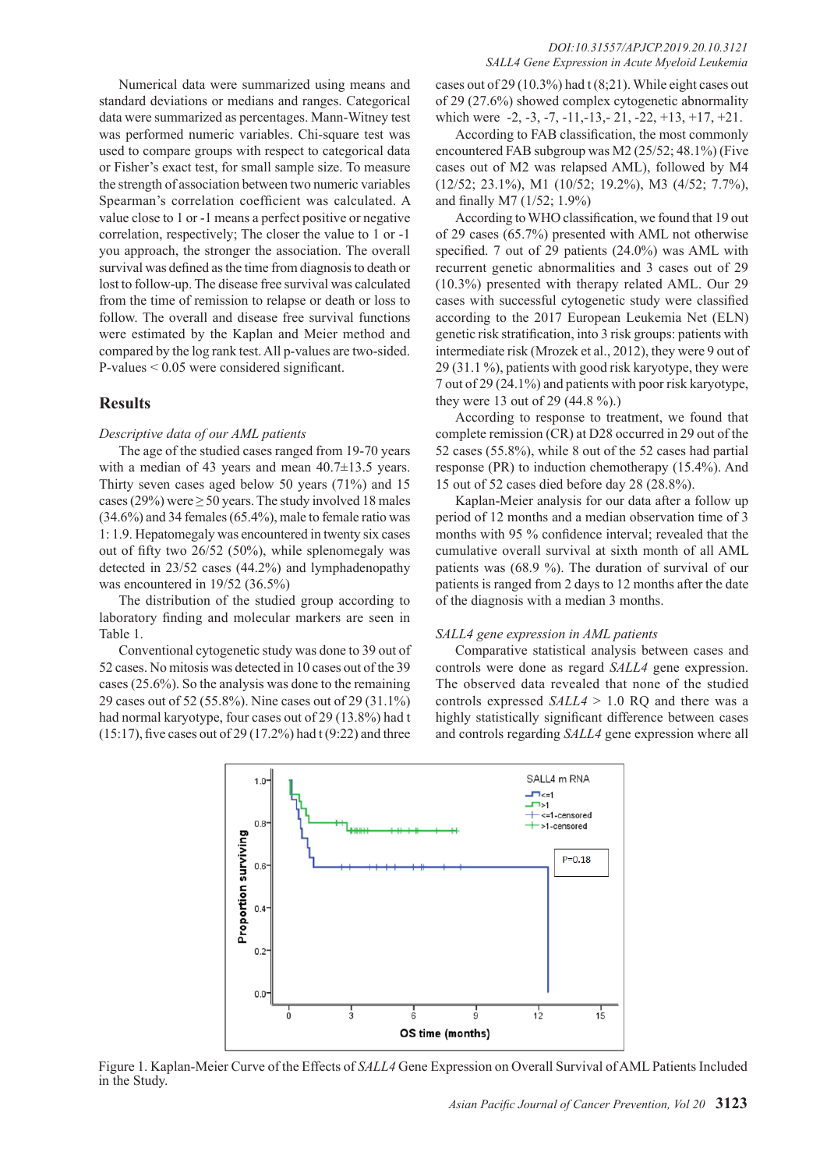Numerical data were summarized using means and standard deviations or medians and ranges. Categorical data were summarized as percentages. Mann-Witney test was performed numeric variables. Chi-square test was used to compare groups with respect to categorical data or Fisher's exact test, for small sample size. To measure the strength of association between two numeric variables Spearman's correlation coefficient was calculated. A value close to 1 or -1 means a perfect positive or negative correlation, respectively; The closer the value to 1 or -1 you approach, the stronger the association. The overall survival was defined as the time from diagnosis to death or lost to follow-up. The disease free survival was calculated from the time of remission to relapse or death or loss to follow. The overall and disease free survival functions were estimated by the Kaplan and Meier method and compared by the log rank test. All p-values are two-sided. P-values < 0.05 were considered significant.

## **Results**

#### *Descriptive data of our AML patients*

The age of the studied cases ranged from 19-70 years with a median of 43 years and mean  $40.7\pm13.5$  years. Thirty seven cases aged below 50 years (71%) and 15 cases (29%) were  $\geq$  50 years. The study involved 18 males (34.6%) and 34 females (65.4%), male to female ratio was 1: 1.9. Hepatomegaly was encountered in twenty six cases out of fifty two 26/52 (50%), while splenomegaly was detected in 23/52 cases (44.2%) and lymphadenopathy was encountered in 19/52 (36.5%)

The distribution of the studied group according to laboratory finding and molecular markers are seen in Table 1.

Conventional cytogenetic study was done to 39 out of 52 cases. No mitosis was detected in 10 cases out of the 39 cases (25.6%). So the analysis was done to the remaining 29 cases out of 52 (55.8%). Nine cases out of 29 (31.1%) had normal karyotype, four cases out of 29 (13.8%) had t  $(15:17)$ , five cases out of 29 (17.2%) had t (9:22) and three

#### *DOI:10.31557/APJCP.2019.20.10.3121 SALL4 Gene Expression in Acute Myeloid Leukemia*

cases out of 29 (10.3%) had t (8;21). While eight cases out of 29 (27.6%) showed complex cytogenetic abnormality which were  $-2, -3, -7, -11, -13, -21, -22, +13, +17, +21.$ 

According to FAB classification, the most commonly encountered FAB subgroup was M2 (25/52; 48.1%) (Five cases out of M2 was relapsed AML), followed by M4 (12/52; 23.1%), M1 (10/52; 19.2%), M3 (4/52; 7.7%), and finally M7 (1/52; 1.9%)

According to WHO classification, we found that 19 out of 29 cases (65.7%) presented with AML not otherwise specified. 7 out of 29 patients (24.0%) was AML with recurrent genetic abnormalities and 3 cases out of 29 (10.3%) presented with therapy related AML. Our 29 cases with successful cytogenetic study were classified according to the 2017 European Leukemia Net (ELN) genetic risk stratification, into 3 risk groups: patients with intermediate risk (Mrozek et al., 2012), they were 9 out of 29 (31.1 %), patients with good risk karyotype, they were 7 out of 29 (24.1%) and patients with poor risk karyotype, they were 13 out of 29 (44.8 %).)

According to response to treatment, we found that complete remission (CR) at D28 occurred in 29 out of the 52 cases (55.8%), while 8 out of the 52 cases had partial response (PR) to induction chemotherapy (15.4%). And 15 out of 52 cases died before day 28 (28.8%).

Kaplan-Meier analysis for our data after a follow up period of 12 months and a median observation time of 3 months with 95 % confidence interval; revealed that the cumulative overall survival at sixth month of all AML patients was (68.9 %). The duration of survival of our patients is ranged from 2 days to 12 months after the date of the diagnosis with a median 3 months.

#### *SALL4 gene expression in AML patients*

Comparative statistical analysis between cases and controls were done as regard *SALL4* gene expression. The observed data revealed that none of the studied controls expressed *SALL4* > 1.0 RQ and there was a highly statistically significant difference between cases and controls regarding *SALL4* gene expression where all



Figure 1. Kaplan-Meier Curve of the Effects of *SALL4* Gene Expression on Overall Survival of AML Patients Included in the Study.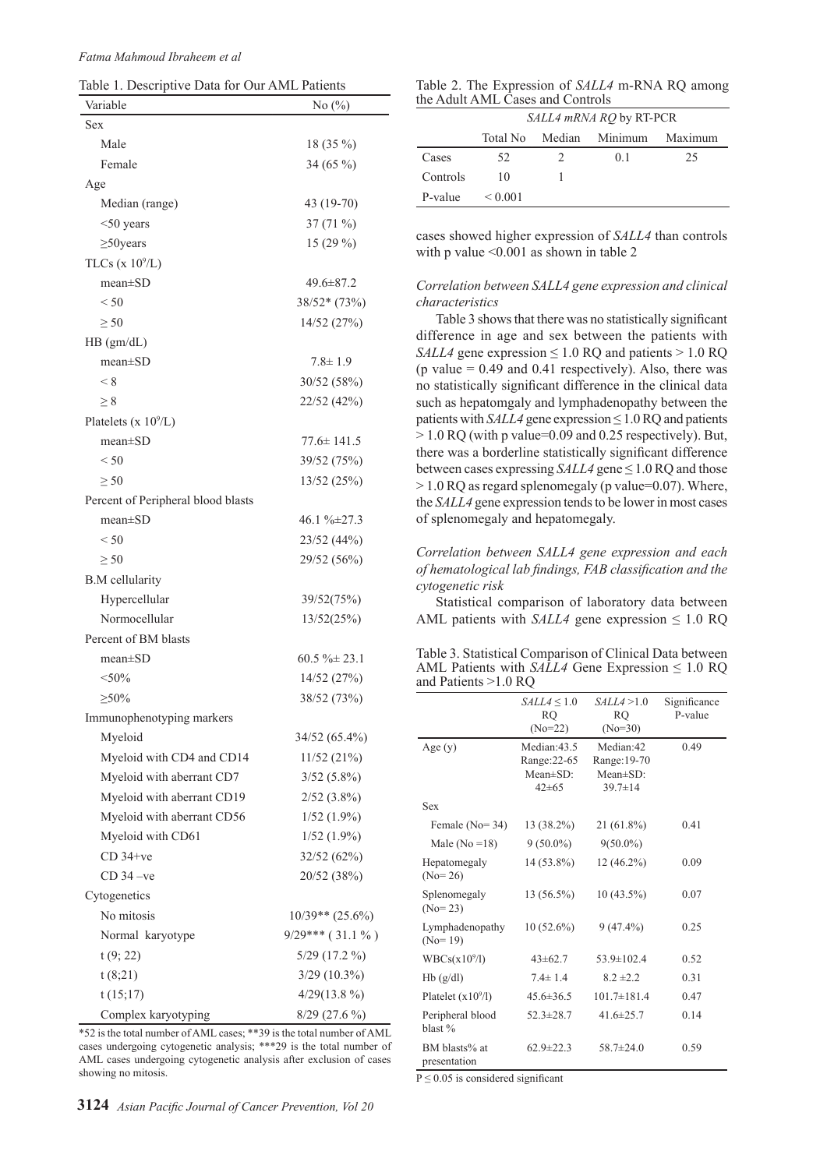| Table 1. Descriptive Data for Our AML Patients |  |
|------------------------------------------------|--|
|------------------------------------------------|--|

| Variable                           | No $(\%)$          |
|------------------------------------|--------------------|
| Sex                                |                    |
| Male                               | 18 (35 %)          |
| Female                             | 34 (65 %)          |
| Age                                |                    |
| Median (range)                     | 43 (19-70)         |
| $<$ 50 years                       | $37(71\%)$         |
| $\geq$ 50 years                    | 15 (29 %)          |
| TLCs ( $x 10^9/L$ )                |                    |
| $mean \pm SD$                      | $49.6 \pm 87.2$    |
| < 50                               | $38/52*(73%)$      |
| $\geq 50$                          | 14/52 (27%)        |
| HB (gm/dL)                         |                    |
| $mean \pm SD$                      | $7.8 \pm 1.9$      |
| < 8                                | 30/52 (58%)        |
| > 8                                | 22/52 (42%)        |
| Platelets ( $x 10^9/L$ )           |                    |
| $mean \pm SD$                      | 77.6± 141.5        |
| < 50                               | 39/52 (75%)        |
| $\geq 50$                          | 13/52 (25%)        |
| Percent of Peripheral blood blasts |                    |
| $mean \pm SD$                      | $46.1\% \pm 27.3$  |
| < 50                               | 23/52 (44%)        |
| $\geq 50$                          | 29/52 (56%)        |
| <b>B.M</b> cellularity             |                    |
| Hypercellular                      | 39/52(75%)         |
| Normocellular                      | 13/52(25%)         |
| Percent of BM blasts               |                    |
| $mean \pm SD$                      | $60.5 \% \pm 23.1$ |
| $<$ 50%                            | 14/52 (27%)        |
| $\geq 50\%$                        | 38/52 (73%)        |
| Immunophenotyping markers          |                    |
| Myeloid                            | 34/52 (65.4%)      |
| Myeloid with CD4 and CD14          | 11/52 (21%)        |
| Myeloid with aberrant CD7          | $3/52(5.8\%)$      |
| Myeloid with aberrant CD19         | $2/52$ $(3.8\%)$   |
| Myeloid with aberrant CD56         | $1/52(1.9\%)$      |
| Myeloid with CD61                  | $1/52(1.9\%)$      |
| $CD$ 34+ $ve$                      | 32/52(62%)         |
| $CD$ 34 $-ve$                      | 20/52 (38%)        |
| Cytogenetics                       |                    |
| No mitosis                         | $10/39**$ (25.6%)  |
| Normal karyotype                   | $9/29***$ (31.1%)  |
| t(9; 22)                           | $5/29$ (17.2 %)    |
| t(8;21)                            | $3/29$ $(10.3\%)$  |
| t(15;17)                           | $4/29(13.8\%)$     |
| Complex karyotyping                | $8/29$ (27.6 %)    |

\*52 is the total number of AML cases; \*\*39 is the total number of AML cases undergoing cytogenetic analysis; \*\*\*29 is the total number of AML cases undergoing cytogenetic analysis after exclusion of cases showing no mitosis.

| Table 2. The Expression of SALL4 m-RNA RQ among |  |
|-------------------------------------------------|--|
| the Adult AML Cases and Controls                |  |

|          | SALL4 mRNA RQ by RT-PCR |               |                |         |  |
|----------|-------------------------|---------------|----------------|---------|--|
|          | Total No                |               | Median Minimum | Maximum |  |
| Cases    | 52                      | $\mathcal{D}$ | 0 <sup>1</sup> | 25      |  |
| Controls | 10                      |               |                |         |  |
| P-value  | ${}_{0.001}$            |               |                |         |  |

cases showed higher expression of *SALL4* than controls with p value  $\leq 0.001$  as shown in table 2

## *Correlation between SALL4 gene expression and clinical characteristics*

Table 3 shows that there was no statistically significant difference in age and sex between the patients with *SALL4* gene expression  $\leq 1.0$  RQ and patients  $> 1.0$  RQ (p value  $= 0.49$  and 0.41 respectively). Also, there was no statistically significant difference in the clinical data such as hepatomgaly and lymphadenopathy between the patients with *SALL4* gene expression  $\leq 1.0$  RQ and patients  $> 1.0$  RO (with p value=0.09 and 0.25 respectively). But, there was a borderline statistically significant difference between cases expressing *SALL4* gene ≤ 1.0 RQ and those > 1.0 RQ as regard splenomegaly (p value=0.07). Where, the *SALL4* gene expression tends to be lower in most cases of splenomegaly and hepatomegaly.

*Correlation between SALL4 gene expression and each of hematological lab findings, FAB classification and the cytogenetic risk*

Statistical comparison of laboratory data between AML patients with *SALL4* gene expression  $\leq 1.0$  RQ

Table 3. Statistical Comparison of Clinical Data between AML Patients with  $SALL4$  Gene Expression  $\leq 1.0$  RQ and Patients >1.0 RQ

|                               | $SALL4 \leq 1.0$<br><b>RQ</b><br>$(No=22)$              | SALL4 > 1.0<br>RQ<br>$(No=30)$                                | Significance<br>P-value |
|-------------------------------|---------------------------------------------------------|---------------------------------------------------------------|-------------------------|
| Age(y)                        | Median: 43.5<br>Range: 22-65<br>Mean±SD:<br>$42 \pm 65$ | Median:42<br>Range: 19-70<br>$Mean \pm SD$ :<br>$39.7 \pm 14$ | 0.49                    |
| Sex                           |                                                         |                                                               |                         |
| Female $(No=34)$              | 13 (38.2%)                                              | 21 (61.8%)                                                    | 0.41                    |
| Male ( $No = 18$ )            | $9(50.0\%)$                                             | $9(50.0\%)$                                                   |                         |
| Hepatomegaly<br>$(No=26)$     | 14 (53.8%)                                              | 12 (46.2%)                                                    | 0.09                    |
| Splenomegaly<br>$(No=23)$     | 13 (56.5%)                                              | $10(43.5\%)$                                                  | 0.07                    |
| Lymphadenopathy<br>$(No=19)$  | $10(52.6\%)$                                            | $9(47.4\%)$                                                   | 0.25                    |
| WBCs(x10 <sup>9</sup> /l)     | $43 \pm 62.7$                                           | 53.9 $\pm$ 102.4                                              | 0.52                    |
| Hb(g/dl)                      | $7.4 \pm 1.4$                                           | $8.2 \pm 2.2$                                                 | 0.31                    |
| Platelet $(x109/I)$           | $45.6 \pm 36.5$                                         | $101.7 \pm 181.4$                                             | 0.47                    |
| Peripheral blood<br>blast %   | $52.3 \pm 28.7$                                         | 41.6 $\pm$ 25.7                                               | 0.14                    |
| BM blasts% at<br>presentation | $62.9 \pm 22.3$                                         | $58.7 \pm 24.0$                                               | 0.59                    |

 $P \le 0.05$  is considered significant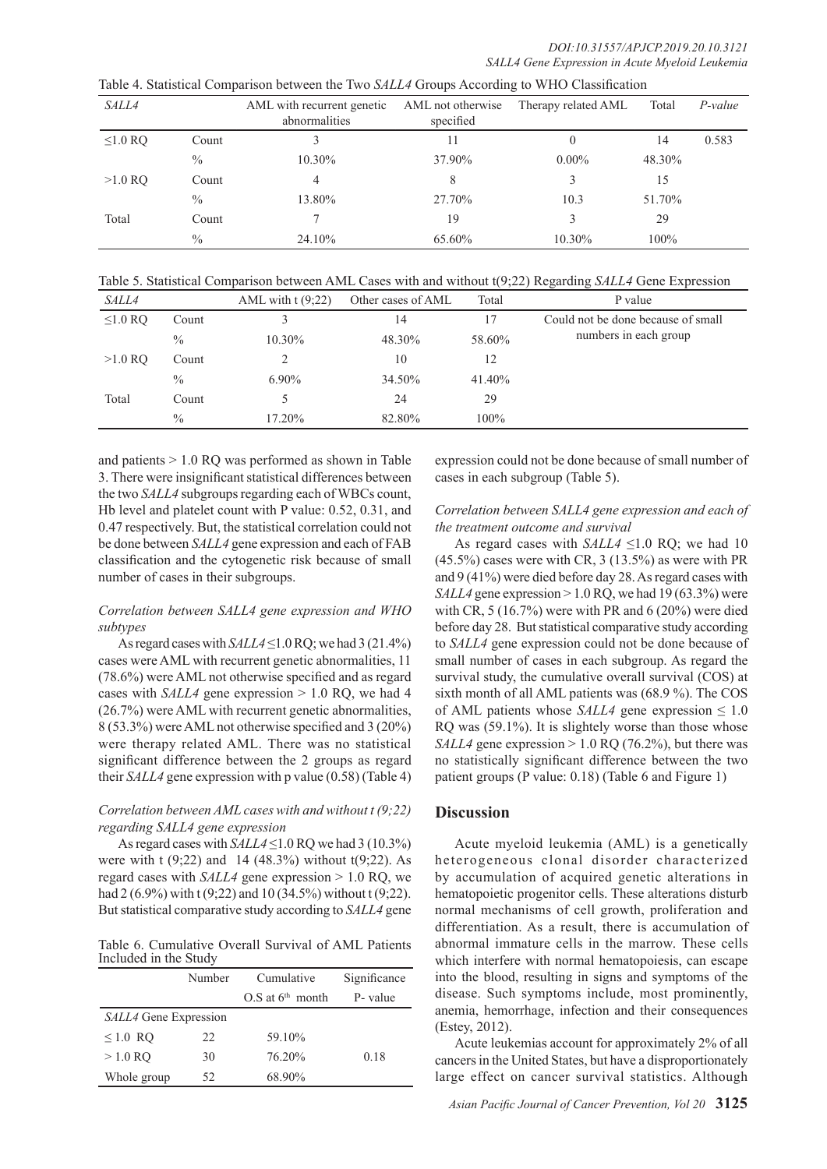| Table 4. Statistical Comparison between the Two SALL4 Groups According to WHO Classification |  |  |  |  |  |  |  |  |
|----------------------------------------------------------------------------------------------|--|--|--|--|--|--|--|--|
|----------------------------------------------------------------------------------------------|--|--|--|--|--|--|--|--|

| <i>SALL4</i> |               | AML with recurrent genetic<br>abnormalities | AML not otherwise<br>specified | Therapy related AML | Total  | P-value |
|--------------|---------------|---------------------------------------------|--------------------------------|---------------------|--------|---------|
| $\leq1.0$ RQ | Count         |                                             | 11                             | 0                   | 14     | 0.583   |
|              | $\frac{0}{0}$ | 10.30%                                      | 37.90%                         | $0.00\%$            | 48.30% |         |
| $>1.0$ RO    | Count         | 4                                           | 8                              |                     | 15     |         |
|              | $\frac{0}{0}$ | 13.80%                                      | 27.70%                         | 10.3                | 51.70% |         |
| Total        | Count         |                                             | 19                             |                     | 29     |         |
|              | $\frac{0}{0}$ | 24.10%                                      | 65.60%                         | 10.30%              | 100%   |         |

Table 5. Statistical Comparison between AML Cases with and without t(9;22) Regarding *SALL4* Gene Expression

| <i>SALL4</i>  |               | AML with $t(9;22)$ | Other cases of AML | Total     | P value                            |
|---------------|---------------|--------------------|--------------------|-----------|------------------------------------|
| $\leq 1.0$ RQ | Count         |                    | 14                 | 17        | Could not be done because of small |
|               | $\frac{0}{0}$ | 10.30%             | 48.30%             | 58.60%    | numbers in each group              |
| $>1.0$ RO     | Count         |                    | 10                 | 12        |                                    |
|               | $\frac{0}{0}$ | $6.90\%$           | 34.50%             | $41.40\%$ |                                    |
| Total         | Count         |                    | 24                 | 29        |                                    |
|               | $\frac{0}{0}$ | 17.20%             | 82.80%             | 100%      |                                    |

and patients > 1.0 RQ was performed as shown in Table 3. There were insignificant statistical differences between the two *SALL4* subgroups regarding each of WBCs count, Hb level and platelet count with P value: 0.52, 0.31, and 0.47 respectively. But, the statistical correlation could not be done between *SALL4* gene expression and each of FAB classification and the cytogenetic risk because of small number of cases in their subgroups.

### *Correlation between SALL4 gene expression and WHO subtypes*

As regard cases with *SALL4* ≤1.0 RQ; we had 3 (21.4%) cases were AML with recurrent genetic abnormalities, 11 (78.6%) were AML not otherwise specified and as regard cases with *SALL4* gene expression  $> 1.0$  RQ, we had 4 (26.7%) were AML with recurrent genetic abnormalities, 8 (53.3%) were AML not otherwise specified and 3 (20%) were therapy related AML. There was no statistical significant difference between the 2 groups as regard their *SALL4* gene expression with p value (0.58) (Table 4)

## *Correlation between AML cases with and without t (9;22) regarding SALL4 gene expression*

As regard cases with *SALL4* ≤1.0 RQ we had 3 (10.3%) were with t (9;22) and 14 (48.3%) without t(9;22). As regard cases with *SALL4* gene expression > 1.0 RQ, we had 2 (6.9%) with t (9;22) and 10 (34.5%) without t (9;22). But statistical comparative study according to *SALL4* gene

Table 6. Cumulative Overall Survival of AML Patients Included in the Study

|                       | Number | Cumulative           | Significance |
|-----------------------|--------|----------------------|--------------|
|                       |        | $O.S$ at $6th$ month | P- value     |
| SALL4 Gene Expression |        |                      |              |
| $\leq 1.0$ RQ         | 22     | 59.10%               |              |
| $>1.0$ RO             | 30     | 76.20%               | 0.18         |
| Whole group           | 52     | 68.90%               |              |

expression could not be done because of small number of cases in each subgroup (Table 5).

## *Correlation between SALL4 gene expression and each of the treatment outcome and survival*

As regard cases with *SALL4* ≤1.0 RQ; we had 10  $(45.5\%)$  cases were with CR, 3  $(13.5\%)$  as were with PR and 9 (41%) were died before day 28. As regard cases with *SALL4* gene expression > 1.0 RQ, we had 19 (63.3%) were with CR, 5 (16.7%) were with PR and 6 (20%) were died before day 28. But statistical comparative study according to *SALL4* gene expression could not be done because of small number of cases in each subgroup. As regard the survival study, the cumulative overall survival (COS) at sixth month of all AML patients was (68.9 %). The COS of AML patients whose  $SALL4$  gene expression  $\leq 1.0$ RQ was (59.1%). It is slightely worse than those whose *SALL4* gene expression  $> 1.0$  RO (76.2%), but there was no statistically significant difference between the two patient groups (P value: 0.18) (Table 6 and Figure 1)

## **Discussion**

Acute myeloid leukemia (AML) is a genetically heterogeneous clonal disorder characterized by accumulation of acquired genetic alterations in hematopoietic progenitor cells. These alterations disturb normal mechanisms of cell growth, proliferation and differentiation. As a result, there is accumulation of abnormal immature cells in the marrow. These cells which interfere with normal hematopoiesis, can escape into the blood, resulting in signs and symptoms of the disease. Such symptoms include, most prominently, anemia, hemorrhage, infection and their consequences (Estey, 2012).

Acute leukemias account for approximately 2% of all cancers in the United States, but have a disproportionately large effect on cancer survival statistics. Although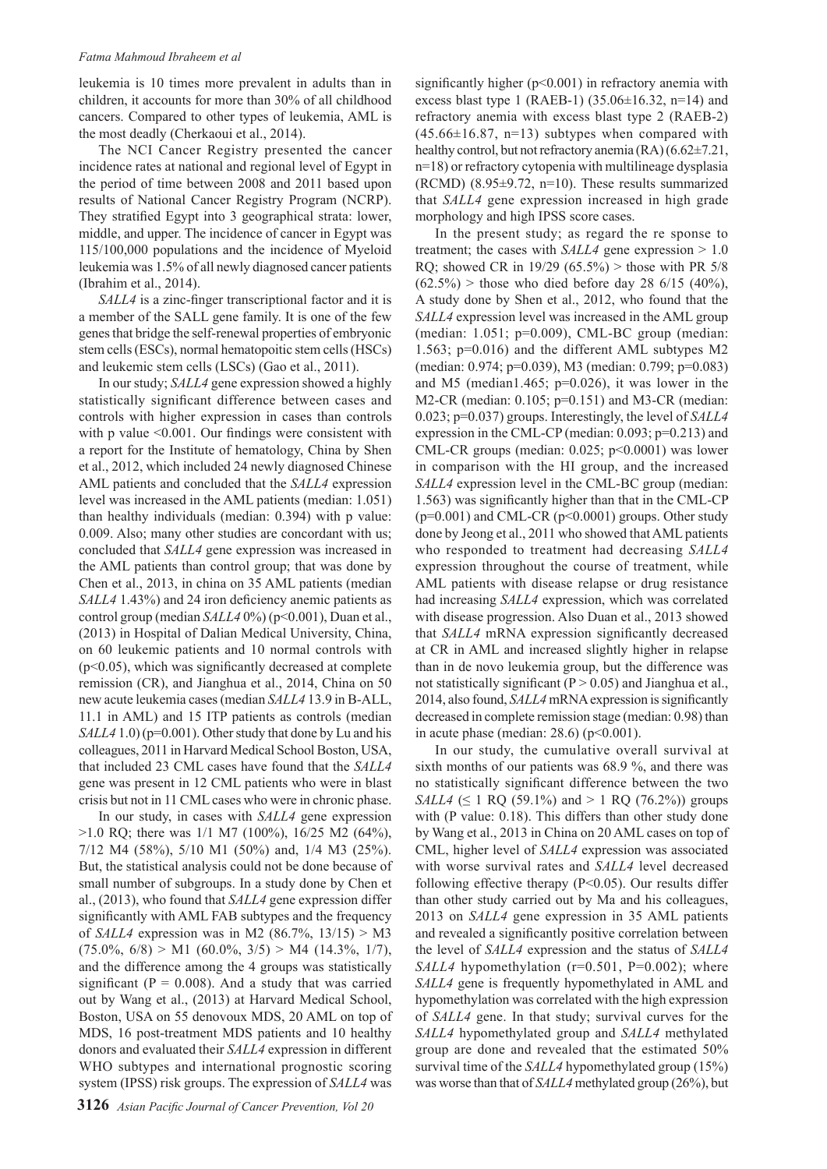#### *Fatma Mahmoud Ibraheem et al*

leukemia is 10 times more prevalent in adults than in children, it accounts for more than 30% of all childhood cancers. Compared to other types of leukemia, AML is the most deadly (Cherkaoui et al., 2014).

The NCI Cancer Registry presented the cancer incidence rates at national and regional level of Egypt in the period of time between 2008 and 2011 based upon results of National Cancer Registry Program (NCRP). They stratified Egypt into 3 geographical strata: lower, middle, and upper. The incidence of cancer in Egypt was 115/100,000 populations and the incidence of Myeloid leukemia was 1.5% of all newly diagnosed cancer patients (Ibrahim et al., 2014).

*SALL4* is a zinc-finger transcriptional factor and it is a member of the SALL gene family. It is one of the few genes that bridge the self-renewal properties of embryonic stem cells (ESCs), normal hematopoitic stem cells (HSCs) and leukemic stem cells (LSCs) (Gao et al., 2011).

In our study; *SALL4* gene expression showed a highly statistically significant difference between cases and controls with higher expression in cases than controls with p value <0.001. Our findings were consistent with a report for the Institute of hematology, China by Shen et al., 2012, which included 24 newly diagnosed Chinese AML patients and concluded that the *SALL4* expression level was increased in the AML patients (median: 1.051) than healthy individuals (median: 0.394) with p value: 0.009. Also; many other studies are concordant with us; concluded that *SALL4* gene expression was increased in the AML patients than control group; that was done by Chen et al., 2013, in china on 35 AML patients (median *SALL4* 1.43%) and 24 iron deficiency anemic patients as control group (median *SALL4* 0%) (p<0.001), Duan et al., (2013) in Hospital of Dalian Medical University, China, on 60 leukemic patients and 10 normal controls with (p<0.05), which was significantly decreased at complete remission (CR), and Jianghua et al., 2014, China on 50 new acute leukemia cases (median *SALL4* 13.9 in B-ALL, 11.1 in AML) and 15 ITP patients as controls (median *SALL4* 1.0) (p=0.001). Other study that done by Lu and his colleagues, 2011 in Harvard Medical School Boston, USA, that included 23 CML cases have found that the *SALL4* gene was present in 12 CML patients who were in blast crisis but not in 11 CML cases who were in chronic phase.

In our study, in cases with *SALL4* gene expression >1.0 RQ; there was 1/1 M7 (100%), 16/25 M2 (64%), 7/12 M4 (58%), 5/10 M1 (50%) and, 1/4 M3 (25%). But, the statistical analysis could not be done because of small number of subgroups. In a study done by Chen et al., (2013), who found that *SALL4* gene expression differ significantly with AML FAB subtypes and the frequency of *SALL4* expression was in M2 (86.7%, 13/15) > M3  $(75.0\%, 6/8) > M1$   $(60.0\%, 3/5) > M4$   $(14.3\%, 1/7)$ , and the difference among the 4 groups was statistically significant ( $P = 0.008$ ). And a study that was carried out by Wang et al., (2013) at Harvard Medical School, Boston, USA on 55 denovoux MDS, 20 AML on top of MDS, 16 post-treatment MDS patients and 10 healthy donors and evaluated their *SALL4* expression in different WHO subtypes and international prognostic scoring system (IPSS) risk groups. The expression of *SALL4* was

significantly higher (p<0.001) in refractory anemia with excess blast type 1 (RAEB-1)  $(35.06 \pm 16.32, n=14)$  and refractory anemia with excess blast type 2 (RAEB-2)  $(45.66\pm16.87, n=13)$  subtypes when compared with healthy control, but not refractory anemia  $(RA)$  (6.62 $\pm$ 7.21, n=18) or refractory cytopenia with multilineage dysplasia (RCMD) (8.95±9.72, n=10). These results summarized that *SALL4* gene expression increased in high grade morphology and high IPSS score cases.

In the present study; as regard the re sponse to treatment; the cases with *SALL4* gene expression > 1.0 RQ; showed CR in 19/29 (65.5%) > those with PR 5/8  $(62.5\%)$  > those who died before day 28 6/15 (40%), A study done by Shen et al., 2012, who found that the *SALL4* expression level was increased in the AML group (median: 1.051; p=0.009), CML-BC group (median: 1.563; p=0.016) and the different AML subtypes M2 (median: 0.974; p=0.039), M3 (median: 0.799; p=0.083) and M5 (median1.465; p=0.026), it was lower in the M2-CR (median: 0.105; p=0.151) and M3-CR (median: 0.023; p=0.037) groups. Interestingly, the level of *SALL4* expression in the CML-CP (median: 0.093; p=0.213) and CML-CR groups (median:  $0.025$ ;  $p<0.0001$ ) was lower in comparison with the HI group, and the increased *SALL4* expression level in the CML-BC group (median: 1.563) was significantly higher than that in the CML-CP  $(p=0.001)$  and CML-CR  $(p<0.0001)$  groups. Other study done by Jeong et al., 2011 who showed that AML patients who responded to treatment had decreasing *SALL4* expression throughout the course of treatment, while AML patients with disease relapse or drug resistance had increasing *SALL4* expression, which was correlated with disease progression. Also Duan et al., 2013 showed that *SALL4* mRNA expression significantly decreased at CR in AML and increased slightly higher in relapse than in de novo leukemia group, but the difference was not statistically significant ( $P > 0.05$ ) and Jianghua et al., 2014, also found, *SALL4* mRNA expression is significantly decreased in complete remission stage (median: 0.98) than in acute phase (median:  $28.6$ ) ( $p<0.001$ ).

In our study, the cumulative overall survival at sixth months of our patients was 68.9 %, and there was no statistically significant difference between the two *SALL4* ( $\leq 1$  RQ (59.1%) and  $> 1$  RQ (76.2%)) groups with (P value: 0.18). This differs than other study done by Wang et al., 2013 in China on 20 AML cases on top of CML, higher level of *SALL4* expression was associated with worse survival rates and *SALL4* level decreased following effective therapy (P<0.05). Our results differ than other study carried out by Ma and his colleagues, 2013 on *SALL4* gene expression in 35 AML patients and revealed a significantly positive correlation between the level of *SALL4* expression and the status of *SALL4 SALL4* hypomethylation (r=0.501, P=0.002); where *SALL4* gene is frequently hypomethylated in AML and hypomethylation was correlated with the high expression of *SALL4* gene. In that study; survival curves for the *SALL4* hypomethylated group and *SALL4* methylated group are done and revealed that the estimated 50% survival time of the *SALL4* hypomethylated group (15%) was worse than that of *SALL4* methylated group (26%), but